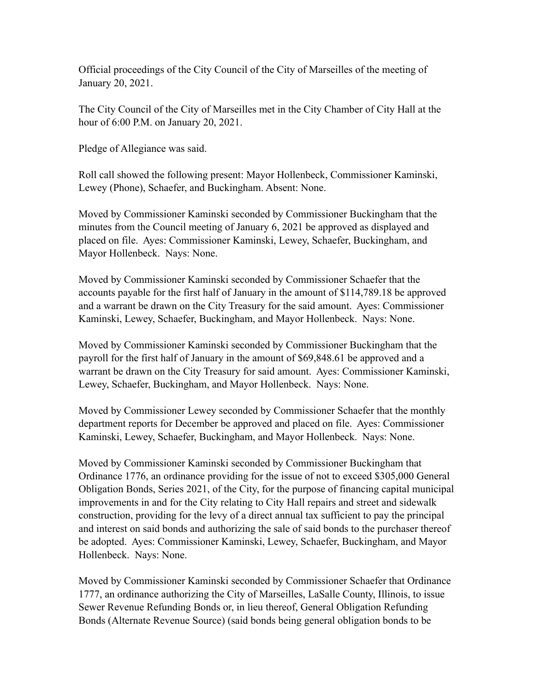Official proceedings of the City Council of the City of Marseilles of the meeting of January 20, 2021.

The City Council of the City of Marseilles met in the City Chamber of City Hall at the hour of 6:00 P.M. on January 20, 2021.

Pledge of Allegiance was said.

Roll call showed the following present: Mayor Hollenbeck, Commissioner Kaminski, Lewey (Phone), Schaefer, and Buckingham. Absent: None.

Moved by Commissioner Kaminski seconded by Commissioner Buckingham that the minutes from the Council meeting of January 6, 2021 be approved as displayed and placed on file. Ayes: Commissioner Kaminski, Lewey, Schaefer, Buckingham, and Mayor Hollenbeck. Nays: None.

Moved by Commissioner Kaminski seconded by Commissioner Schaefer that the accounts payable for the first half of January in the amount of \$114,789.18 be approved and a warrant be drawn on the City Treasury for the said amount. Ayes: Commissioner Kaminski, Lewey, Schaefer, Buckingham, and Mayor Hollenbeck. Nays: None.

Moved by Commissioner Kaminski seconded by Commissioner Buckingham that the payroll for the first half of January in the amount of \$69,848.61 be approved and a warrant be drawn on the City Treasury for said amount. Ayes: Commissioner Kaminski, Lewey, Schaefer, Buckingham, and Mayor Hollenbeck. Nays: None.

Moved by Commissioner Lewey seconded by Commissioner Schaefer that the monthly department reports for December be approved and placed on file. Ayes: Commissioner Kaminski, Lewey, Schaefer, Buckingham, and Mayor Hollenbeck. Nays: None.

Moved by Commissioner Kaminski seconded by Commissioner Buckingham that Ordinance 1776, an ordinance providing for the issue of not to exceed \$305,000 General Obligation Bonds, Series 2021, of the City, for the purpose of financing capital municipal improvements in and for the City relating to City Hall repairs and street and sidewalk construction, providing for the levy of a direct annual tax sufficient to pay the principal and interest on said bonds and authorizing the sale of said bonds to the purchaser thereof be adopted. Ayes: Commissioner Kaminski, Lewey, Schaefer, Buckingham, and Mayor Hollenbeck. Nays: None.

Moved by Commissioner Kaminski seconded by Commissioner Schaefer that Ordinance 1777, an ordinance authorizing the City of Marseilles, LaSalle County, Illinois, to issue Sewer Revenue Refunding Bonds or, in lieu thereof, General Obligation Refunding Bonds (Alternate Revenue Source) (said bonds being general obligation bonds to be